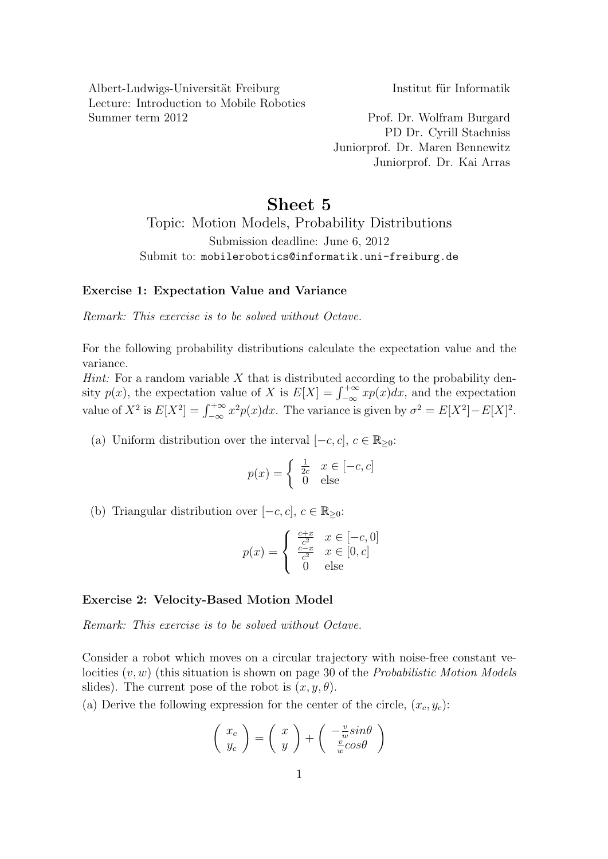Albert-Ludwigs-Universität Freiburg Institut für Informatik Lecture: Introduction to Mobile Robotics Summer term 2012 Prof. Dr. Wolfram Burgard

PD Dr. Cyrill Stachniss Juniorprof. Dr. Maren Bennewitz Juniorprof. Dr. Kai Arras

## Sheet 5

Topic: Motion Models, Probability Distributions Submission deadline: June 6, 2012 Submit to: mobilerobotics@informatik.uni-freiburg.de

## Exercise 1: Expectation Value and Variance

Remark: This exercise is to be solved without Octave.

For the following probability distributions calculate the expectation value and the variance.

*Hint:* For a random variable  $X$  that is distributed according to the probability density  $p(x)$ , the expectation value of X is  $E[X] = \int_{-\infty}^{+\infty} xp(x)dx$ , and the expectation value of  $X^2$  is  $E[X^2] = \int_{-\infty}^{+\infty} x^2 p(x) dx$ . The variance is given by  $\sigma^2 = E[X^2] - E[X]^2$ .

(a) Uniform distribution over the interval  $[-c, c], c \in \mathbb{R}_{\geq 0}$ :

$$
p(x) = \begin{cases} \frac{1}{2c} & x \in [-c, c] \\ 0 & \text{else} \end{cases}
$$

(b) Triangular distribution over  $[-c, c], c \in \mathbb{R}_{\geq 0}$ :

$$
p(x) = \begin{cases} \frac{c+x}{c^2} & x \in [-c, 0] \\ \frac{c-x}{c^2} & x \in [0, c] \\ 0 & \text{else} \end{cases}
$$

## Exercise 2: Velocity-Based Motion Model

Remark: This exercise is to be solved without Octave.

Consider a robot which moves on a circular trajectory with noise-free constant velocities  $(v, w)$  (this situation is shown on page 30 of the *Probabilistic Motion Models* slides). The current pose of the robot is  $(x, y, \theta)$ .

(a) Derive the following expression for the center of the circle,  $(x_c, y_c)$ :

$$
\left(\begin{array}{c}x_c\\y_c\end{array}\right) = \left(\begin{array}{c}x\\y\end{array}\right) + \left(\begin{array}{c}-\frac{v}{w}\sin\theta\\ \frac{v}{w}\cos\theta\end{array}\right)
$$